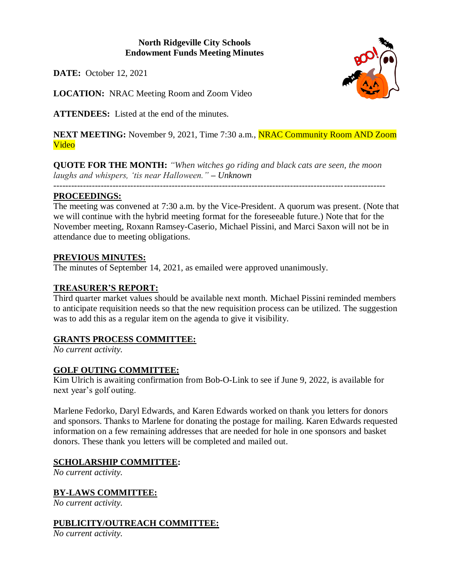# **North Ridgeville City Schools Endowment Funds Meeting Minutes**

**DATE:** October 12, 2021

**LOCATION:** NRAC Meeting Room and Zoom Video

**ATTENDEES:** Listed at the end of the minutes.

**NEXT MEETING:** November 9, 2021, Time 7:30 a.m., **NRAC Community Room AND Zoom** Video

**QUOTE FOR THE MONTH:** *"When witches go riding and black cats are seen, the moon laughs and whispers, 'tis near Halloween." – Unknown*

*----------------------------------------------------------------------------------------------------------------*

# **PROCEEDINGS:**

The meeting was convened at 7:30 a.m. by the Vice-President. A quorum was present. (Note that we will continue with the hybrid meeting format for the foreseeable future.) Note that for the November meeting, Roxann Ramsey-Caserio, Michael Pissini, and Marci Saxon will not be in attendance due to meeting obligations.

#### **PREVIOUS MINUTES:**

The minutes of September 14, 2021, as emailed were approved unanimously.

# **TREASURER'S REPORT:**

Third quarter market values should be available next month. Michael Pissini reminded members to anticipate requisition needs so that the new requisition process can be utilized. The suggestion was to add this as a regular item on the agenda to give it visibility.

# **GRANTS PROCESS COMMITTEE:**

*No current activity.*

#### **GOLF OUTING COMMITTEE:**

Kim Ulrich is awaiting confirmation from Bob-O-Link to see if June 9, 2022, is available for next year's golf outing.

Marlene Fedorko, Daryl Edwards, and Karen Edwards worked on thank you letters for donors and sponsors. Thanks to Marlene for donating the postage for mailing. Karen Edwards requested information on a few remaining addresses that are needed for hole in one sponsors and basket donors. These thank you letters will be completed and mailed out.

# **SCHOLARSHIP COMMITTEE:**

*No current activity.*

**BY-LAWS COMMITTEE:**

*No current activity.*

# **PUBLICITY/OUTREACH COMMITTEE:**

*No current activity.*

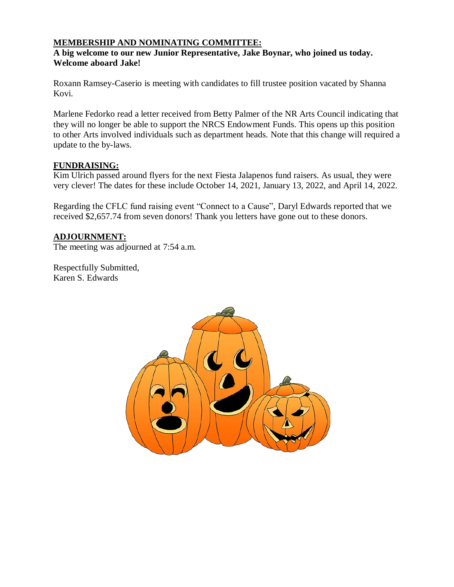# **MEMBERSHIP AND NOMINATING COMMITTEE:**

#### **A big welcome to our new Junior Representative, Jake Boynar, who joined us today. Welcome aboard Jake!**

Roxann Ramsey-Caserio is meeting with candidates to fill trustee position vacated by Shanna Kovi.

Marlene Fedorko read a letter received from Betty Palmer of the NR Arts Council indicating that they will no longer be able to support the NRCS Endowment Funds. This opens up this position to other Arts involved individuals such as department heads. Note that this change will required a update to the by-laws.

#### **FUNDRAISING:**

Kim Ulrich passed around flyers for the next Fiesta Jalapenos fund raisers. As usual, they were very clever! The dates for these include October 14, 2021, January 13, 2022, and April 14, 2022.

Regarding the CFLC fund raising event "Connect to a Cause", Daryl Edwards reported that we received \$2,657.74 from seven donors! Thank you letters have gone out to these donors.

# **ADJOURNMENT:**

The meeting was adjourned at 7:54 a.m.

Respectfully Submitted, Karen S. Edwards